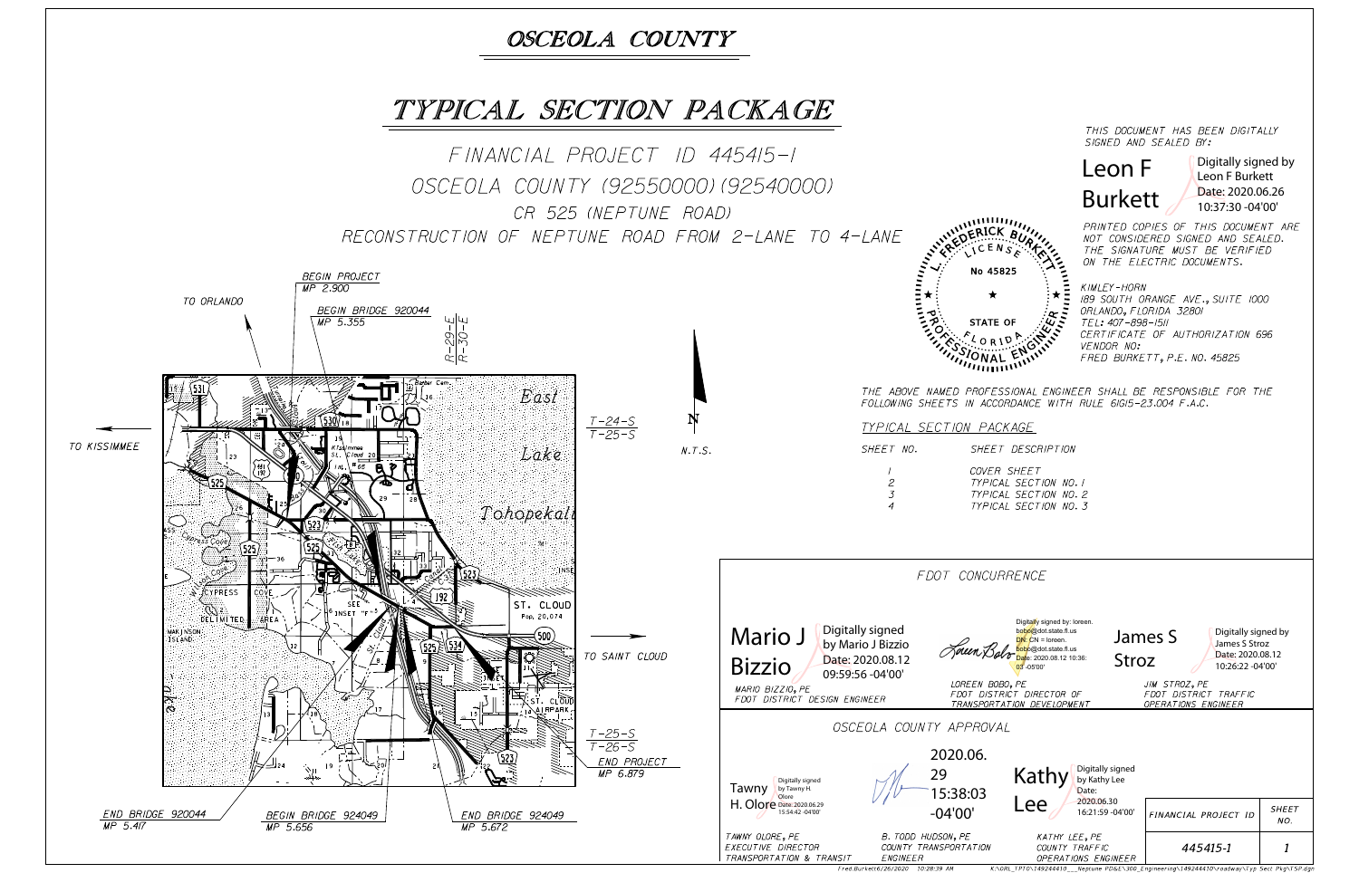SIGNED AND SEALED BY: THIS DOCUMENT HAS BEEN DIGITALLY

ON THE ELECTRIC DOCUMENTS. THE SIGNATURE MUST BE VERIFIED NOT CONSIDERED SIGNED AND SEALED. PRINTED COPIES OF THIS DOCUMENT ARE

FRED BURKETT, P.E. NO. 45825 VENDOR NO: CERTIFICATE OF AUTHORIZATION 696 TEL: 407-898-1511 ORLANDO, FLORIDA 32801 189 SOUTH ORANGE AVE., SUITE 1000 KIMLEY-HORN

THE ABOVE NAMED PROFESSIONAL ENGINEER SHALL BE RESPONSIBLE FOR THE



| E NCE                                                                                                                                    |                  |              |                                                                              |                     |  |
|------------------------------------------------------------------------------------------------------------------------------------------|------------------|--------------|------------------------------------------------------------------------------|---------------------|--|
| Digitally signed by: loreen.<br>bobo@dot.state.fl.us<br>$DN: CN = I$<br>bobo@dot.state.fl.us<br>Date: 2020.08.12 10:36:<br>$03 - 05'00'$ | James S<br>Stroz |              | Digitally signed by<br>James S Stroz<br>Date: 2020.08.12<br>10:26:22 -04'00' |                     |  |
| ΡF<br><i>DIRECTOR OF</i><br><i>ON DEVELOPMENT</i>                                                                                        |                  | JIM STROZ,PE | FDOT DISTRICT TRAFFIC<br><i>OPERATIONS ENGINEER</i>                          |                     |  |
| Digitally signed<br>Kathy                                                                                                                |                  |              |                                                                              |                     |  |
| by Kathy Lee<br>Date:                                                                                                                    |                  |              |                                                                              |                     |  |
| 2020.06.30<br>Lee<br>16:21:59 -04'00'                                                                                                    |                  |              | FINANCIAL PROJECT ID                                                         | <b>SHEET</b><br>NO. |  |
| KATHY LEE, PE<br>COUNTY TRAFFIC<br><i><b>OPERATIONS ENGINEER</b></i>                                                                     |                  |              | 445415-1                                                                     | 1                   |  |

K:\ORL\_TPTO\149244410 \_\_Neptune PD&E\300\_Engineering\149244410\roadway\Typ Sect Pkg\TSP.dgn

## Leon F Burkett

Digitally signed by Leon F Burkett Date: 2020.06.26 10:37:30 -04'00'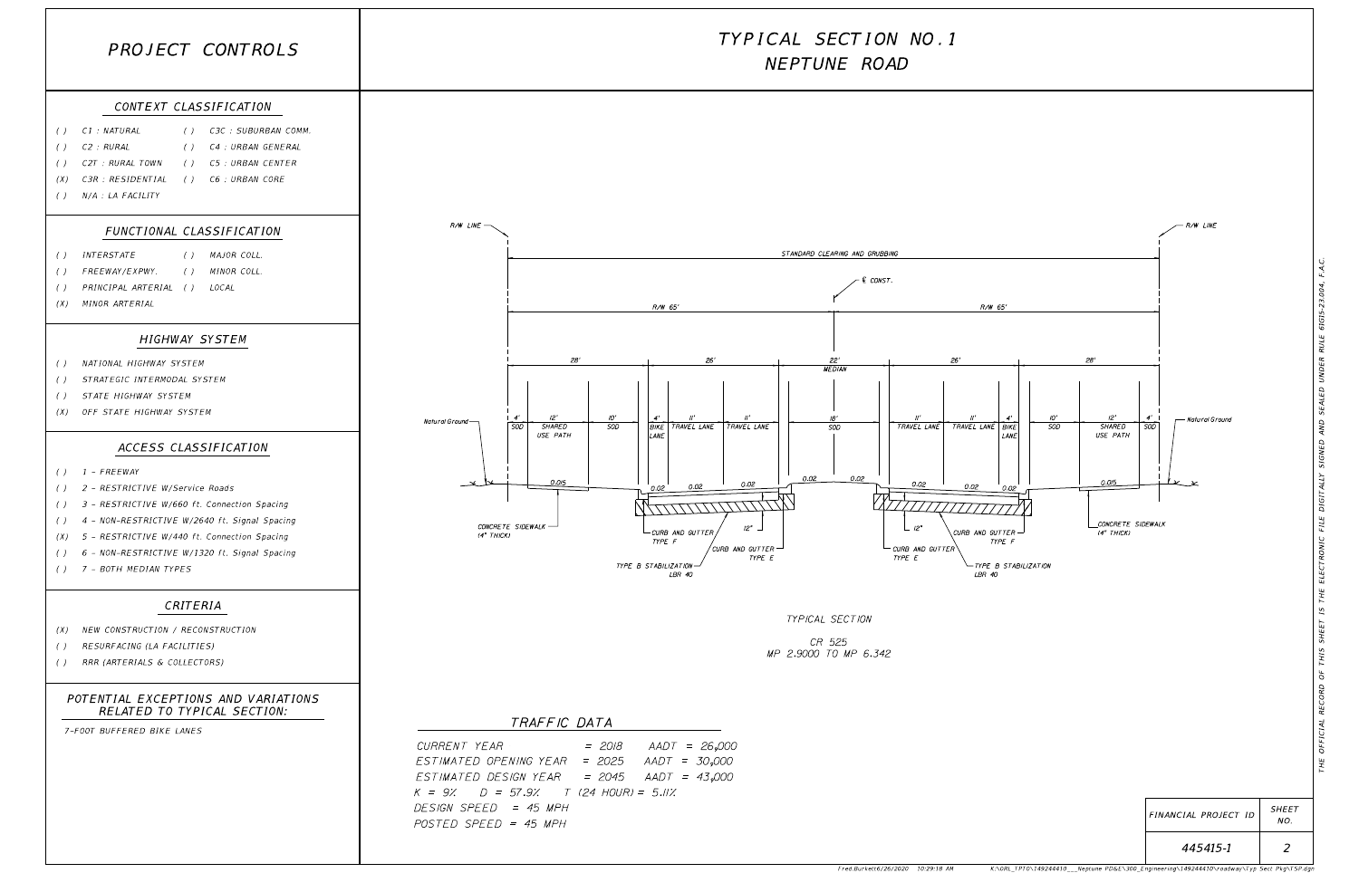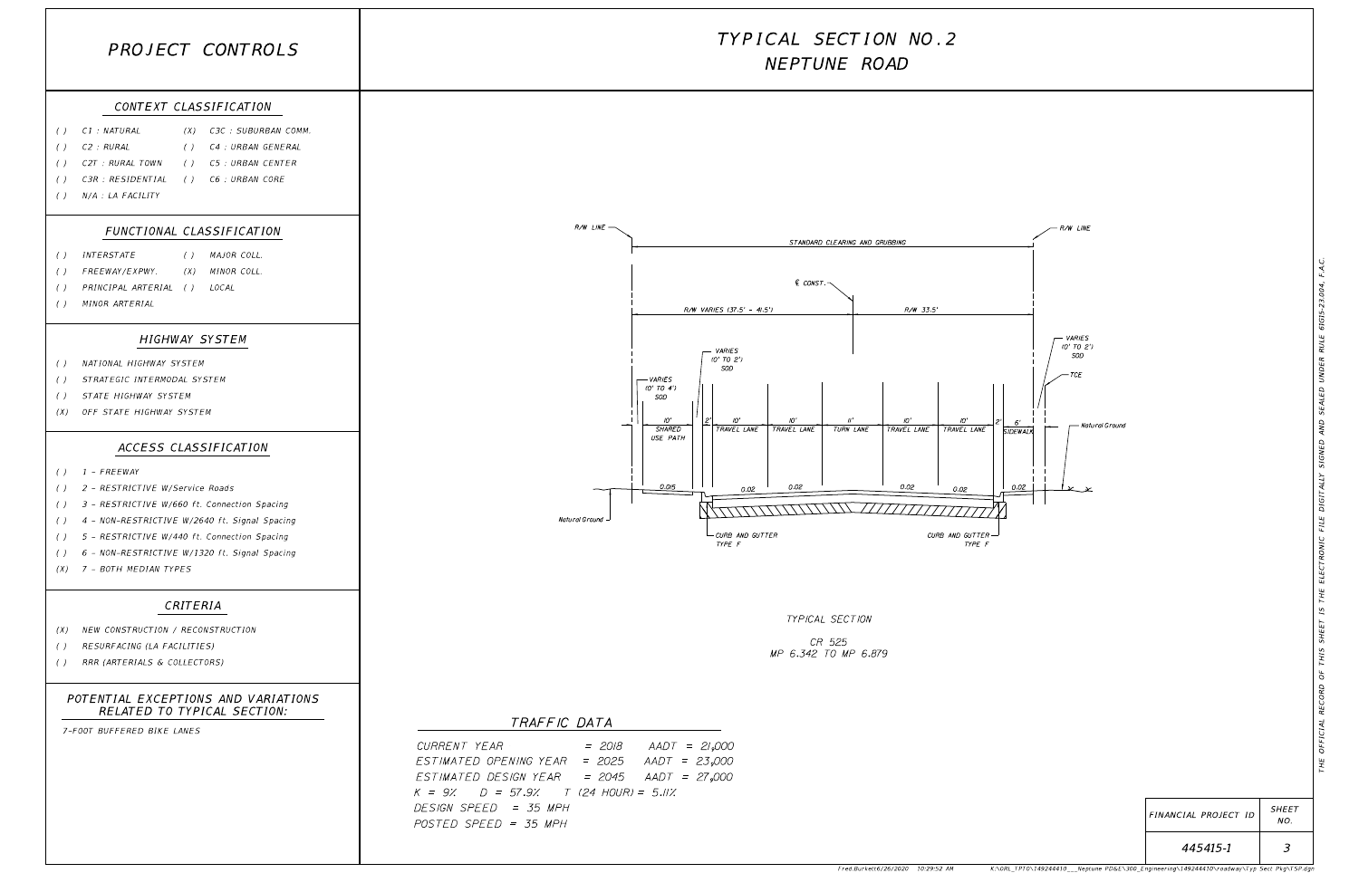Fred.Burkett6/26/2020 10:29:52 AM K:\ORL\_TPTO\149244410\_\_\_Neptune PD&E\300\_Engineering\149244410\roadway\Typ Sect Pkg\TSP.dgn

| FINANCIAL PROJECT ID | <b>SHEET</b><br>NO. |  |
|----------------------|---------------------|--|
| 445415-1             |                     |  |

| PROJECT CONTROLS                                                                                                                                                                                                                                                                                                                                                                                                                                                                                                                                    | TYPICAL SECTION NO.2<br>NEPTUNE ROAD                                                                                                                                                                                                                                                                                                                                                                                                        |  |  |
|-----------------------------------------------------------------------------------------------------------------------------------------------------------------------------------------------------------------------------------------------------------------------------------------------------------------------------------------------------------------------------------------------------------------------------------------------------------------------------------------------------------------------------------------------------|---------------------------------------------------------------------------------------------------------------------------------------------------------------------------------------------------------------------------------------------------------------------------------------------------------------------------------------------------------------------------------------------------------------------------------------------|--|--|
| CONTEXT CLASSIFICATION<br>C1 : NATURAL<br>(X) C3C : SUBURBAN COMM.<br>$\left( \quad \right)$<br>C2 : RURAL<br>C4 : URBAN GENERAL<br>$\left( \right)$<br>(<br>C2T : RURAL TOWN<br><i>C5 : URBAN CENTER</i><br>$\left( \quad \right)$<br>$($ )<br>C3R : RESIDENTIAL<br>C6 : URBAN CORE<br>$\left( \right)$<br>$\left( \begin{array}{c} \end{array} \right)$<br>N/A : LA FACILITY<br>$\left( \right)$                                                                                                                                                  |                                                                                                                                                                                                                                                                                                                                                                                                                                             |  |  |
| FUNCTIONAL CLASSIFICATION<br>() MAJOR COLL.<br><i>INTERSTATE</i><br>$\left( \quad \right)$                                                                                                                                                                                                                                                                                                                                                                                                                                                          | $R/W$ $LINE$ $-$<br>R/W LINE<br>STANDARD CLEARING AND GRUBBING                                                                                                                                                                                                                                                                                                                                                                              |  |  |
| (X) MINOR COLL.<br><i>FREEWAY/EXPWY.</i><br>$\left( \right)$<br>PRINCIPAL ARTERIAL () LOCAL<br>$\left( \quad \right)$<br>MINOR ARTERIAL<br>$\left( \ \right)$                                                                                                                                                                                                                                                                                                                                                                                       | € CONST.¬<br>R/W VARIES (37.5' - 41.5')<br>R/W 33.5'                                                                                                                                                                                                                                                                                                                                                                                        |  |  |
| <b>HIGHWAY SYSTEM</b><br>NATIONAL HIGHWAY SYSTEM<br>$\left( \right)$<br>STRATEGIC INTERMODAL SYSTEM<br>( )<br>STATE HIGHWAY SYSTEM<br>$\left( \right)$<br>OFF STATE HIGHWAY SYSTEM<br>(X)<br>ACCESS CLASSIFICATION<br>$( )$ $1$ - FREEWAY<br>2 - RESTRICTIVE W/Service Roads<br>$($ )<br>3 - RESTRICTIVE W/660 ft. Connection Spacing<br>$\left( \right)$<br>() 4 - NON-RESTRICTIVE W/2640 ft. Signal Spacing<br>() 5 - RESTRICTIVE W/440 ft. Connection Spacing<br>() 6 - NON-RESTRICTIVE W/1320 ft. Signal Spacing<br>$(X)$ 7 - BOTH MEDIAN TYPES | - VARIES<br>(0' TO 2'<br>- VARIES<br>SOD<br>$(0'$ TO $2')$<br>SOD<br>$-$ TCE<br>- VARIES<br>$(0'$ TO $4')$<br>SOD<br>IO'<br>$^{\prime\prime}$<br>IO'<br>10'<br>IO'<br>10'<br>6'<br>SHARED<br>TRAVEL LANE<br>TRAVEL LANE<br>TURN LANE<br>TRAVEL LANE<br>TRAVEL LANE<br>SIDEWALK<br>USE PATH<br>0.015<br>0.02<br>0.02<br>0.02<br>0.02<br>0.02<br>Natural Ground<br>$L_{CURB}$ AND GUTTER<br>CURB AND GUTTER $\rightarrow$<br>TYPE F<br>TYPE F |  |  |
| CRITERIA<br>NEW CONSTRUCTION / RECONSTRUCTION<br>(X)<br>RESURFACING (LA FACILITIES)<br>$\left( \quad \right)$<br>RRR (ARTERIALS & COLLECTORS)<br>$\left( \quad \right)$                                                                                                                                                                                                                                                                                                                                                                             | TYPICAL SECTION<br>CR 525<br>MP 6.342 TO MP 6.879                                                                                                                                                                                                                                                                                                                                                                                           |  |  |
| POTENTIAL EXCEPTIONS AND VARIATIONS<br>RELATED TO TYPICAL SECTION:<br>7-FOOT BUFFERED BIKE LANES                                                                                                                                                                                                                                                                                                                                                                                                                                                    | TRAFFIC DATA<br>CURRENT YEAR<br>$AADT = 21,000$<br>$= 2018$<br>ESTIMATED OPENING YEAR = 2025<br>$AADT = 23,000$<br>ESTIMATED DESIGN YEAR = 2045 AADT = 27,000<br>$K = 9$ % $D = 57.9$ % T (24 HOUR) = 5.11%<br>DESIGN SPEED = 35 MPH<br>POSTED SPEED = 35 MPH                                                                                                                                                                               |  |  |